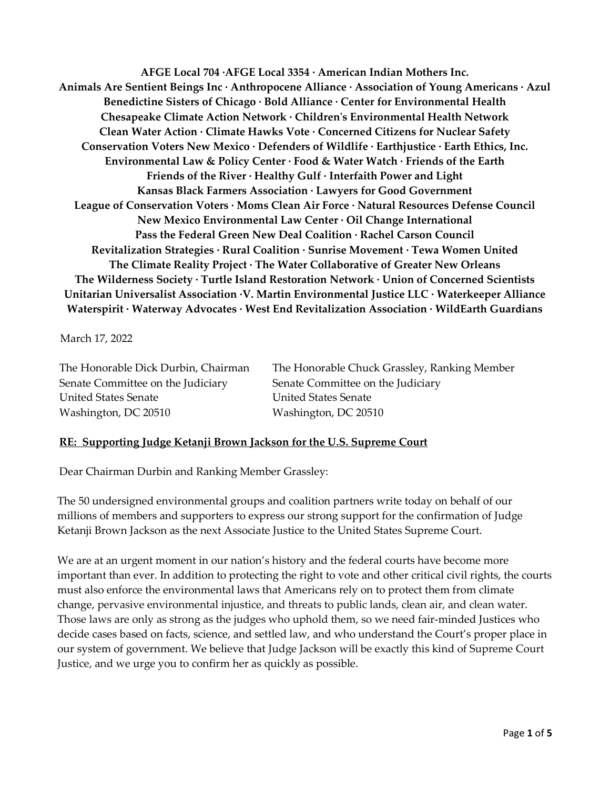**AFGE Local 704 ·AFGE Local 3354 · American Indian Mothers Inc. Animals Are Sentient Beings Inc · Anthropocene Alliance · Association of Young Americans · Azul Benedictine Sisters of Chicago · Bold Alliance · Center for Environmental Health Chesapeake Climate Action Network · Children's Environmental Health Network Clean Water Action · Climate Hawks Vote · Concerned Citizens for Nuclear Safety Conservation Voters New Mexico · Defenders of Wildlife · Earthjustice · Earth Ethics, Inc. Environmental Law & Policy Center · Food & Water Watch · Friends of the Earth Friends of the River · Healthy Gulf · Interfaith Power and Light Kansas Black Farmers Association · Lawyers for Good Government League of Conservation Voters · Moms Clean Air Force · Natural Resources Defense Council New Mexico Environmental Law Center · Oil Change International Pass the Federal Green New Deal Coalition · Rachel Carson Council Revitalization Strategies · Rural Coalition · Sunrise Movement · Tewa Women United The Climate Reality Project · The Water Collaborative of Greater New Orleans The Wilderness Society · Turtle Island Restoration Network · Union of Concerned Scientists Unitarian Universalist Association ·V. Martin Environmental Justice LLC · Waterkeeper Alliance Waterspirit · Waterway Advocates · West End Revitalization Association · WildEarth Guardians**

March 17, 2022

Senate Committee on the Judiciary Senate Committee on the Judiciary United States Senate United States Senate Washington, DC 20510 Washington, DC 20510

The Honorable Dick Durbin, Chairman The Honorable Chuck Grassley, Ranking Member

## **RE: Supporting Judge Ketanji Brown Jackson for the U.S. Supreme Court**

Dear Chairman Durbin and Ranking Member Grassley:

The 50 undersigned environmental groups and coalition partners write today on behalf of our millions of members and supporters to express our strong support for the confirmation of Judge Ketanji Brown Jackson as the next Associate Justice to the United States Supreme Court.

We are at an urgent moment in our nation's history and the federal courts have become more important than ever. In addition to protecting the right to vote and other critical civil rights, the courts must also enforce the environmental laws that Americans rely on to protect them from climate change, pervasive environmental injustice, and threats to public lands, clean air, and clean water. Those laws are only as strong as the judges who uphold them, so we need fair-minded Justices who decide cases based on facts, science, and settled law, and who understand the Court's proper place in our system of government. We believe that Judge Jackson will be exactly this kind of Supreme Court Justice, and we urge you to confirm her as quickly as possible.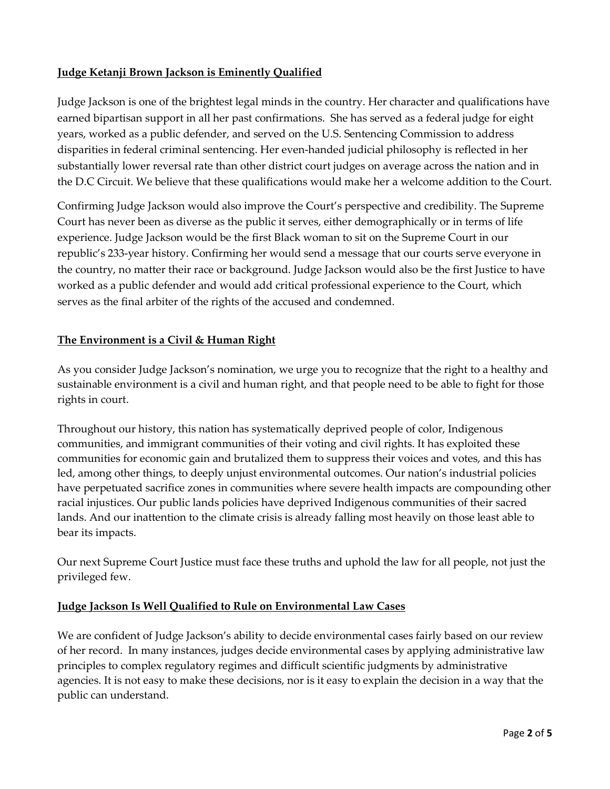## **Judge Ketanji Brown Jackson is Eminently Qualified**

Judge Jackson is one of the brightest legal minds in the country. Her character and qualifications have earned bipartisan support in all her past confirmations. She has served as a federal judge for eight years, worked as a public defender, and served on the U.S. Sentencing Commission to address disparities in federal criminal sentencing. Her even-handed judicial philosophy is reflected in her substantially lower reversal rate than other district court judges on average across the nation and in the D.C Circuit. We believe that these qualifications would make her a welcome addition to the Court.

Confirming Judge Jackson would also improve the Court's perspective and credibility. The Supreme Court has never been as diverse as the public it serves, either demographically or in terms of life experience. Judge Jackson would be the first Black woman to sit on the Supreme Court in our republic's 233-year history. Confirming her would send a message that our courts serve everyone in the country, no matter their race or background. Judge Jackson would also be the first Justice to have worked as a public defender and would add critical professional experience to the Court, which serves as the final arbiter of the rights of the accused and condemned.

## **The Environment is a Civil & Human Right**

As you consider Judge Jackson's nomination, we urge you to recognize that the right to a healthy and sustainable environment is a civil and human right, and that people need to be able to fight for those rights in court.

Throughout our history, this nation has systematically deprived people of color, Indigenous communities, and immigrant communities of their voting and civil rights. It has exploited these communities for economic gain and brutalized them to suppress their voices and votes, and this has led, among other things, to deeply unjust environmental outcomes. Our nation's industrial policies have perpetuated sacrifice zones in communities where severe health impacts are compounding other racial injustices. Our public lands policies have deprived Indigenous communities of their sacred lands. And our inattention to the climate crisis is already falling most heavily on those least able to bear its impacts.

Our next Supreme Court Justice must face these truths and uphold the law for all people, not just the privileged few.

## **Judge Jackson Is Well Qualified to Rule on Environmental Law Cases**

We are confident of Judge Jackson's ability to decide environmental cases fairly based on our review of her record. In many instances, judges decide environmental cases by applying administrative law principles to complex regulatory regimes and difficult scientific judgments by administrative agencies. It is not easy to make these decisions, nor is it easy to explain the decision in a way that the public can understand.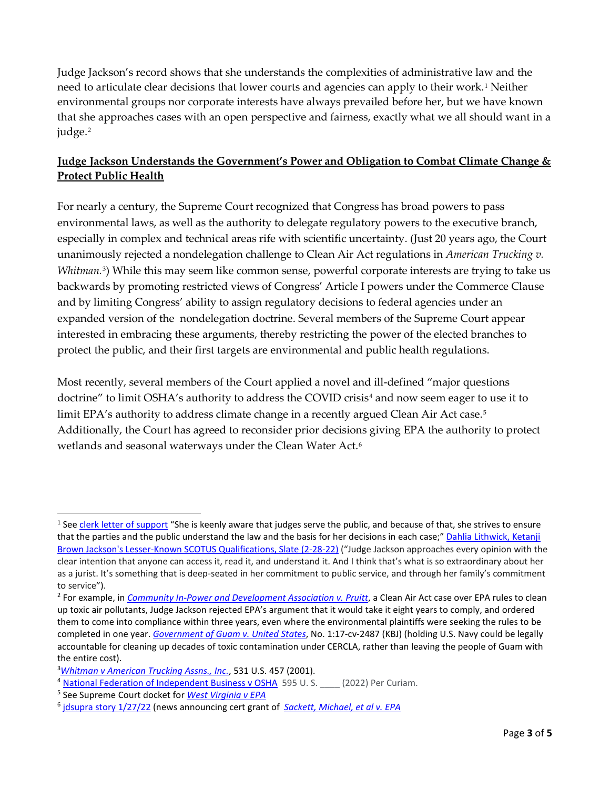Judge Jackson's record shows that she understands the complexities of administrative law and the need to articulate clear decisions that lower courts and agencies can apply to their work.<sup>[1](#page-2-0)</sup> Neither environmental groups nor corporate interests have always prevailed before her, but we have known that she approaches cases with an open perspective and fairness, exactly what we all should want in a judge.<sup>[2](#page-2-1)</sup>

# **Judge Jackson Understands the Government's Power and Obligation to Combat Climate Change & Protect Public Health**

For nearly a century, the Supreme Court recognized that Congress has broad powers to pass environmental laws, as well as the authority to delegate regulatory powers to the executive branch, especially in complex and technical areas rife with scientific uncertainty. (Just 20 years ago, the Court unanimously rejected a nondelegation challenge to Clean Air Act regulations in *American Trucking v. Whitman.*<sup>[3](#page-2-2)</sup>) While this may seem like common sense, powerful corporate interests are trying to take us backwards by promoting restricted views of Congress' Article I powers under the Commerce Clause and by limiting Congress' ability to assign regulatory decisions to federal agencies under an expanded version of the nondelegation doctrine. Several members of the Supreme Court appear interested in embracing these arguments, thereby restricting the power of the elected branches to protect the public, and their first targets are environmental and public health regulations.

Most recently, several members of the Court applied a novel and ill-defined "major questions doctrine" to limit OSHA's authority to address the COVID crisis<sup>[4](#page-2-3)</sup> and now seem eager to use it to limit EPA's authority to address climate change in a recently argued Clean Air Act case.<sup>[5](#page-2-4)</sup> Additionally, the Court has agreed to reconsider prior decisions giving EPA the authority to protect wetlands and seasonal waterways under the Clean Water Act.<sup>[6](#page-2-5)</sup>

<span id="page-2-0"></span><sup>&</sup>lt;sup>1</sup> See [clerk letter of support](https://www.judiciary.senate.gov/imo/media/doc/4.9.21%20-%20Former%20Law%20Clerks%20Support%20for%20KBJ.pdf) "She is keenly aware that judges serve the public, and because of that, she strives to ensure that the parties and the public understand the law and the basis for her decisions in each case;" Dahlia Lithwick, Ketanji [Brown Jackson's Lesser-Known SCOTUS Qualifications, Slate \(2-28-22\)](https://slate.com/news-and-politics/2022/02/what-makes-bidens-scotus-nominee-ketanji-brown-jackson-so-unique.html) ("Judge Jackson approaches every opinion with the clear intention that anyone can access it, read it, and understand it. And I think that's what is so extraordinary about her as a jurist. It's something that is deep-seated in her commitment to public service, and through her family's commitment to service").

<span id="page-2-1"></span><sup>&</sup>lt;sup>2</sup> For example, in *[Community In-Power and Development Association v. Pruitt](https://ecf.dcd.uscourts.gov/cgi-bin/show_public_doc?2016cv1074-42)*, a Clean Air Act case over EPA rules to clean up toxic air pollutants, Judge Jackson rejected EPA's argument that it would take it eight years to comply, and ordered them to come into compliance within three years, even where the environmental plaintiffs were seeking the rules to be completed in one year. *[Government of Guam v. United States](https://ecf.dcd.uscourts.gov/cgi-bin/show_public_doc?2017cv2487-38)*, No. 1:17-cv-2487 (KBJ) (holding U.S. Navy could be legally accountable for cleaning up decades of toxic contamination under CERCLA, rather than leaving the people of Guam with the entire cost).

<span id="page-2-2"></span><sup>3</sup> *[Whitman v American Trucking Assns., Inc.](https://supreme.justia.com/cases/federal/us/531/457/)*, 531 U.S. 457 (2001).

<span id="page-2-3"></span><sup>4</sup> [National Federation of Independent Business v OSHA](https://www.supremecourt.gov/opinions/21pdf/21a244_hgci.pdf) 595 U.S. (2022) Per Curiam.

<span id="page-2-4"></span><sup>5</sup> See Supreme Court docket for *[West Virginia v EPA](https://www.supremecourt.gov/docket/docketfiles/html/public/20-1530.html)*

<span id="page-2-5"></span><sup>6</sup> [jdsupra story 1/27/22](https://www.jdsupra.com/legalnews/supreme-court-takes-up-clean-water-act-5369026/) (news announcing cert grant of *[Sackett, Michael, et al v. EPA](https://www.supremecourt.gov/docket/docketfiles/html/public/21-454.html?utm_medium=email&_hsmi=2&_hsenc=p2ANqtz-_W4hAQSNNOErR0AJm-IkZZQqOIx6UZfFeNbe0-2PF00uu-SXVRBzFyR497ymeePNCrb_TW_MNhsbKFGSExMhthVn6ERw&utm_content=2&utm_source=hs_email)*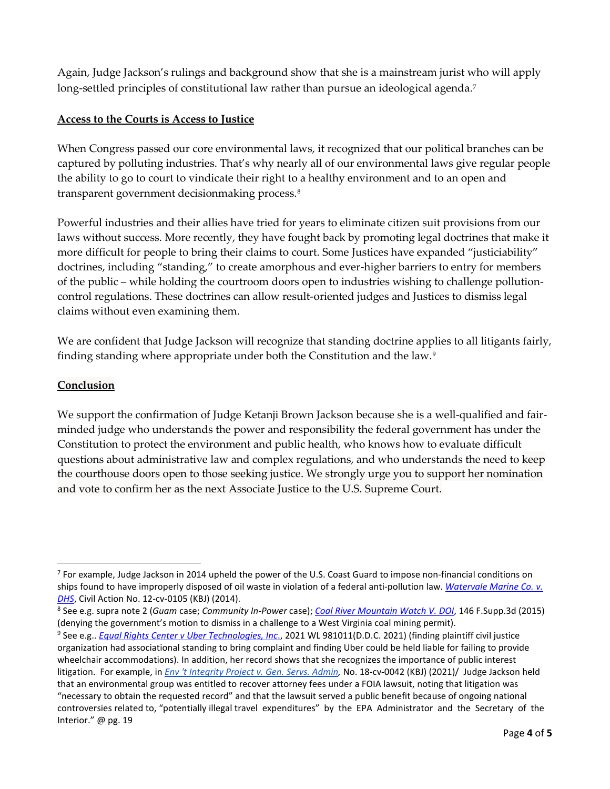Again, Judge Jackson's rulings and background show that she is a mainstream jurist who will apply long-settled principles of constitutional law rather than pursue an ideological agenda.<sup>[7](#page-3-0)</sup>

## **Access to the Courts is Access to Justice**

When Congress passed our core environmental laws, it recognized that our political branches can be captured by polluting industries. That's why nearly all of our environmental laws give regular people the ability to go to court to vindicate their right to a healthy environment and to an open and transparent government decisionmaking process.[8](#page-3-1) 

Powerful industries and their allies have tried for years to eliminate citizen suit provisions from our laws without success. More recently, they have fought back by promoting legal doctrines that make it more difficult for people to bring their claims to court. Some Justices have expanded "justiciability" doctrines, including "standing," to create amorphous and ever-higher barriers to entry for members of the public – while holding the courtroom doors open to industries wishing to challenge pollutioncontrol regulations. These doctrines can allow result-oriented judges and Justices to dismiss legal claims without even examining them.

We are confident that Judge Jackson will recognize that standing doctrine applies to all litigants fairly, finding standing where appropriate under both the Constitution and the law.[9](#page-3-2)

### **Conclusion**

We support the confirmation of Judge Ketanji Brown Jackson because she is a well-qualified and fairminded judge who understands the power and responsibility the federal government has under the Constitution to protect the environment and public health, who knows how to evaluate difficult questions about administrative law and complex regulations, and who understands the need to keep the courthouse doors open to those seeking justice. We strongly urge you to support her nomination and vote to confirm her as the next Associate Justice to the U.S. Supreme Court.

<span id="page-3-0"></span> $7$  For example, Judge Jackson in 2014 upheld the power of the U.S. Coast Guard to impose non-financial conditions on ships found to have improperly disposed of oil waste in violation of a federal anti-pollution law. *[Watervale Marine Co. v.](https://ecf.dcd.uscourts.gov/cgi-bin/show_public_doc?2012cv0105-37)  [DHS](https://ecf.dcd.uscourts.gov/cgi-bin/show_public_doc?2012cv0105-37)*, Civil Action No. 12-cv-0105 (KBJ) (2014).

<span id="page-3-1"></span><sup>8</sup> See e.g. supra note 2 (*Guam* case; *Community In-Power* case); *[Coal River Mountain Watch V. DOI](https://scholar.google.com/scholar_case?case=6728385611191794563&q=ketanji+brown+jackson&hl=en&as_sdt=10000000000000000000000ffffffffffffe04&as_ylo=2013)*, 146 F.Supp.3d (2015) (denying the government's motion to dismiss in a challenge to a West Virginia coal mining permit).

<span id="page-3-2"></span><sup>9</sup> See e.g.. *[Equal Rights Center v Uber Technologies, Inc](https://ecf.dcd.uscourts.gov/cgi-bin/show_public_doc?2017cv1272-55)*., 2021 WL 981011(D.D.C. 2021) (finding plaintiff civil justice organization had associational standing to bring complaint and finding Uber could be held liable for failing to provide wheelchair accommodations). In addition, her record shows that she recognizes the importance of public interest litigation. For example, in *[Env 't Integrity Project v. Gen. Servs. Admin,](https://ecf.dcd.uscourts.gov/cgi-bin/show_public_doc?2018cv0042-32)* No. 18-cv-0042 (KBJ) (2021)/ Judge Jackson held that an environmental group was entitled to recover attorney fees under a FOIA lawsuit, noting that litigation was "necessary to obtain the requested record" and that the lawsuit served a public benefit because of ongoing national controversies related to, "potentially illegal travel expenditures" by the EPA Administrator and the Secretary of the Interior." @ pg. 19